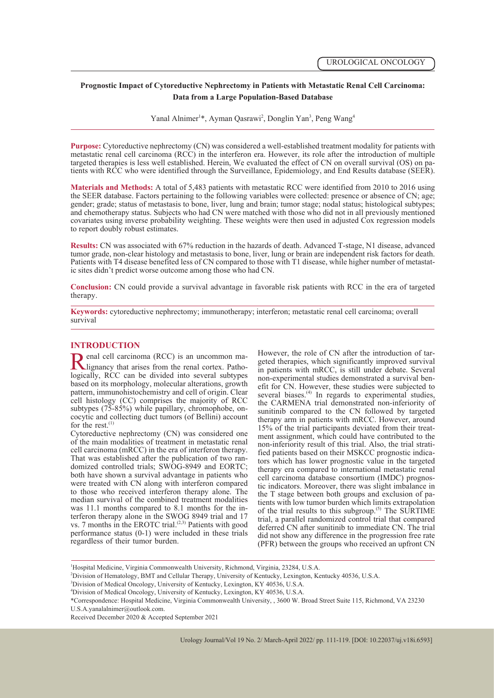# **Prognostic Impact of Cytoreductive Nephrectomy in Patients with Metastatic Renal Cell Carcinoma: Data from a Large Population-Based Database**

Yanal Alnimer<sup>1\*</sup>, Ayman Qasrawi<sup>2</sup>, Donglin Yan<sup>3</sup>, Peng Wang<sup>4</sup>

**Purpose:** Cytoreductive nephrectomy (CN) was considered a well-established treatment modality for patients with metastatic renal cell carcinoma (RCC) in the interferon era. However, its role after the introduction of multiple targeted therapies is less well established. Herein, We evaluated the effect of CN on overall survival (OS) tients with RCC who were identified through the Surveillance, Epidemiology, and End Results database (SEER).

**Materials and Methods:** A total of 5,483 patients with metastatic RCC were identified from 2010 to 2016 using the SEER database. Factors pertaining to the following variables were collected: presence or absence of CN; age; gender; grade; status of metastasis to bone, liver, lung and brain; tumor stage; nodal status; histological subtypes; and chemotherapy status. Subjects who had CN were matched with those who did not in all previously mentioned covariates using inverse probability weighting. These weights were then used in adjusted Cox regression models to report doubly robust estimates.

**Results:** CN was associated with 67% reduction in the hazards of death. Advanced T-stage, N1 disease, advanced tumor grade, non-clear histology and metastasis to bone, liver, lung or brain are independent risk factors for death. Patients with T4 disease benefited less of CN compared to those with T1 disease, while higher number of metastat- ic sites didn't predict worse outcome among those who had CN.

**Conclusion:** CN could provide a survival advantage in favorable risk patients with RCC in the era of targeted therapy.

**Keywords:** cytoreductive nephrectomy; immunotherapy; interferon; metastatic renal cell carcinoma; overall survival

## **INTRODUCTION**

**Renal cell carcinoma (RCC) is an uncommon ma-**<br>lignancy that arises from the renal cortex. Patho-<br>logically, RCC can be divided into several subtypes based on its morphology, molecular alterations, growth pattern, immunohistochemistry and cell of origin. Clear cell histology (CC) comprises the majority of RCC cocytic and collecting duct tumors (of Bellini) account for the rest. $^{(1)}$ 

Cytoreductive nephrectomy (CN) was considered one of the main modalities of treatment in metastatic renal cell carcinoma (mRCC) in the era of interferon therapy. domized controlled trials; SWOG-8949 and EORTC; both have shown a survival advantage in patients who were treated with CN along with interferon compared to those who received interferon therapy alone. The median survival of the combined treatment modalities was 11.1 months compared to 8.1 months for the interferon therapy alone in the SWOG 8949 trial and 17 vs. 7 months in the EROTC trial. $(2,3)$  Patients with good performance status (0-1) were included in these trials regardless of their tumor burden.

However, the role of CN after the introduction of tar-geted therapies, which significantly improved survival in patients with mRCC, is still under debate. Several non-experimental studies demonstrated a survival benefit for CN. However, these studies were subjected to several biases.<sup>(4)</sup> In regards to experimental studies, the CARMENA trial demonstrated non-inferiority of sunitinib compared to the CN followed by targeted therapy arm in patients with mRCC. However, around 15% of the trial participants deviated from their treatment assignment, which could have contributed to the non-inferiority result of this trial. Also, the trial stratified patients based on their MSKCC prognostic indica-<br>tors which has lower prognostic value in the targeted therapy era compared to international metastatic renal<br>cell carcinoma database consortium (IMDC) prognostic indicators. Moreover, there was slight imbalance in the T stage between both groups and exclusion of pa- tients with low tumor burden which limits extrapolation of the trial results to this subgroup.<sup> $(5)$ </sup> The SURTIME trial, a parallel randomized control trial that compared deferred CN after sunitinib to immediate CN. The trial did not show any difference in the progression free rate (PFR) between the groups who received an upfront CN

1 Hospital Medicine, Virginia Commonwealth University, Richmond, Virginia, 23284, U.S.A.

2 Division of Hematology, BMT and Cellular Therapy, University of Kentucky, Lexington, Kentucky 40536, U.S.A.

\*Correspondence: Hospital Medicine, Virginia Commonwealth University, , 3600 W. Broad Street Suite 115, Richmond, VA 23230 U.S.A.yanalalnimer@outlook.com.

Received December 2020 & Accepted September 2021

<sup>3</sup> Division of Medical Oncology, University of Kentucky, Lexington, KY 40536, U.S.A.

<sup>4</sup> Division of Medical Oncology, University of Kentucky, Lexington, KY 40536, U.S.A.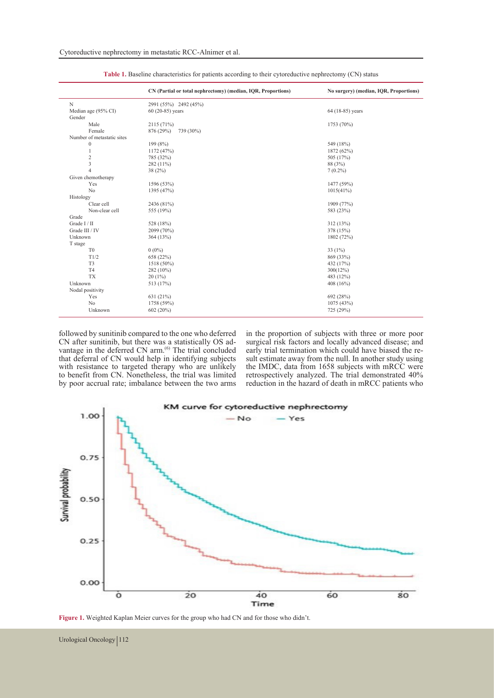|                               | CN (Partial or total nephrectomy) (median, IQR, Proportions) | No surgery) (median, IOR, Proportions) |  |  |  |
|-------------------------------|--------------------------------------------------------------|----------------------------------------|--|--|--|
| N                             | 2991 (55%) 2492 (45%)                                        |                                        |  |  |  |
| Median age (95% CI)<br>Gender | 60 (20-85) years                                             | 64 (18-85) years                       |  |  |  |
| Male                          | 2115 (71%)                                                   | 1753 (70%)                             |  |  |  |
| Female                        | 876 (29%)<br>739 (30%)                                       |                                        |  |  |  |
| Number of metastatic sites    |                                                              |                                        |  |  |  |
| $\boldsymbol{0}$              | 199 (8%)                                                     | 549 (18%)                              |  |  |  |
| 1                             | 1172 (47%)                                                   | 1872 (62%)                             |  |  |  |
| $\overline{c}$                | 785 (32%)                                                    | 505 (17%)                              |  |  |  |
| 3                             | 282 (11%)                                                    | 88 (3%)                                |  |  |  |
| $\overline{4}$                | 38(2%)                                                       | $7(0.2\%)$                             |  |  |  |
| Given chemotherapy            |                                                              |                                        |  |  |  |
| Yes                           | 1596 (53%)                                                   | 1477 (59%)                             |  |  |  |
| N <sub>o</sub>                | 1395 (47%)                                                   | 1015(41%)                              |  |  |  |
| Histology                     |                                                              |                                        |  |  |  |
| Clear cell                    | 2436 (81%)                                                   | 1909 (77%)                             |  |  |  |
| Non-clear cell                | 555 (19%)                                                    | 583 (23%)                              |  |  |  |
| Grade                         |                                                              |                                        |  |  |  |
| Grade I / II                  | 528 (18%)                                                    | 312 (13%)                              |  |  |  |
| Grade III / IV                | 2099 (70%)                                                   | 378 (15%)                              |  |  |  |
| Unknown                       | 364 (13%)                                                    | 1802 (72%)                             |  |  |  |
| T stage                       |                                                              |                                        |  |  |  |
| T <sub>0</sub>                | $0(0\%)$                                                     | 33 $(1%)$                              |  |  |  |
| T1/2                          | 658 (22%)                                                    | 869 (33%)                              |  |  |  |
| T <sub>3</sub>                | 1518 (50%)                                                   | 432 (17%)                              |  |  |  |
| T <sub>4</sub>                | 282 (10%)                                                    | $300(12\%)$                            |  |  |  |
| <b>TX</b>                     | $20(1\%)$                                                    | 483 (12%)                              |  |  |  |
| Unknown                       | 513 (17%)                                                    | 408 $(16%)$                            |  |  |  |
| Nodal positivity              |                                                              |                                        |  |  |  |
| Yes                           | 631(21%)                                                     | 692 (28%)                              |  |  |  |
| N <sub>o</sub>                | 1758 (59%)                                                   | 1075 (43%)                             |  |  |  |
| Unknown                       | 602 (20%)                                                    | 725 (29%)                              |  |  |  |

**Table 1.** Baseline characteristics for patients according to their cytoreductive nephrectomy (CN) status

followed by sunitinib compared to the one who deferred CN after sunitinib, but there was a statistically OS advantage in the deferred CN  $arm<sup>(6)</sup>$ . The trial concluded that deferral of CN would help in identifying subjects with resistance to targeted therapy who are unlikely to benefit from CN. Nonetheless, the trial was limited by poor accrual rate; imbalance between the two arms

in the proportion of subjects with three or more poor surgical risk factors and locally advanced disease; and early trial termination which could have biased the result estimate away from the null. In another study using the IMDC, data from 1658 subjects with mRCC were retrospectively analyzed. The trial demonstrated 40% reduction in the hazard of death in mRCC patients who



**Figure 1.** Weighted Kaplan Meier curves for the group who had CN and for those who didn't.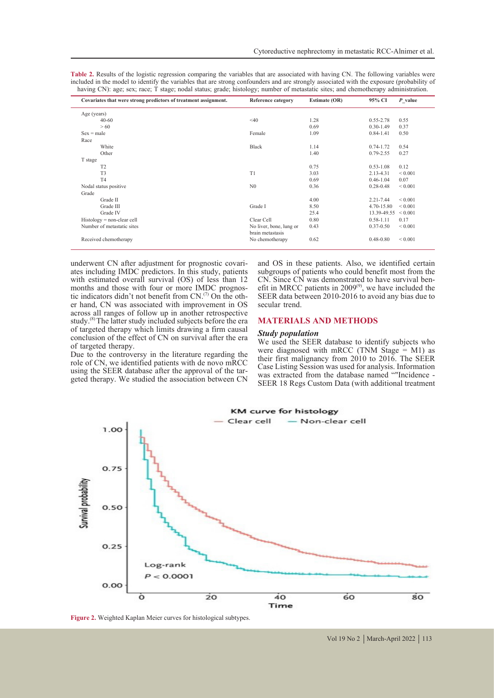**Table 2.** Results of the logistic regression comparing the variables that are associated with having CN. The following variables were included in the model to identify the variables that are strong confounders and are strongly associated with the exposure (probability of having CN): age; sex; race; T stage; nodal status; grade; histology; number of metastatic sites; and chemotherapy administration.

| Covariates that were strong predictors of treatment assignment. | Reference category      | <b>Estimate (OR)</b> | 95% CI        | $P$ value    |
|-----------------------------------------------------------------|-------------------------|----------------------|---------------|--------------|
| Age (years)                                                     |                         |                      |               |              |
| $40 - 60$                                                       | $<$ 40                  | 1.28                 | $0.55 - 2.78$ | 0.55         |
| > 60                                                            |                         | 0.69                 | $0.30 - 1.49$ | 0.37         |
| $Sex = male$                                                    | Female                  | 1.09                 | $0.84 - 1.41$ | 0.50         |
| Race                                                            |                         |                      |               |              |
| White                                                           | <b>Black</b>            | 1.14                 | $0.74 - 1.72$ | 0.54         |
| Other                                                           |                         | 1.40                 | $0.79 - 2.55$ | 0.27         |
| T stage                                                         |                         |                      |               |              |
| T2                                                              |                         | 0.75                 | $0.53 - 1.08$ | 0.12         |
| T <sub>3</sub>                                                  | T <sub>1</sub>          | 3.03                 | 2.13-4.31     | ${}_{0.001}$ |
| T <sub>4</sub>                                                  |                         | 0.69                 | $0.46 - 1.04$ | 0.07         |
| Nodal status positive                                           | N <sub>0</sub>          | 0.36                 | $0.28 - 0.48$ | ${}< 0.001$  |
| Grade                                                           |                         |                      |               |              |
| Grade II                                                        |                         | 4.00                 | $2.21 - 7.44$ | ${}_{0.001}$ |
| Grade III                                                       | Grade I                 | 8.50                 | 4.70-15.80    | ${}_{0.001}$ |
| Grade IV                                                        |                         | 25.4                 | 13.39-49.55   | ${}_{0.001}$ |
| $History = non-clear$ cell                                      | Clear Cell              | 0.80                 | $0.58 - 1.11$ | 0.17         |
| Number of metastatic sites                                      | No liver, bone, lung or | 0.43                 | $0.37 - 0.50$ | ${}< 0.001$  |
|                                                                 | brain metastasis        |                      |               |              |
| Received chemotherapy                                           | No chemotherapy         | 0.62                 | $0.48 - 0.80$ | ${}_{0.001}$ |
|                                                                 |                         |                      |               |              |

underwent CN after adjustment for prognostic covari- ates including IMDC predictors. In this study, patients with estimated overall survival (OS) of less than 12 months and those with four or more IMDC prognostic indicators didn't not benefit from  $CN<sup>(7)</sup>$  On the oth- er hand, CN was associated with improvement in OS across all ranges of follow up in another retrospective study.<sup>(8)</sup> The latter study included subjects before the era of targeted therapy which limits drawing a firm causal conclusion of the effect of CN on survival after the era of targeted therapy.

Due to the controversy in the literature regarding the role of CN, we identified patients with de novo mRCC using the SEER database after the approval of the targeted therapy. We studied the association between CN and OS in these patients. Also, we identified certain subgroups of patients who could benefit most from the CN. Since CN was demonstrated to have survival ben-CN. Since CN was demonstrated to have survival benefit in MRCC patients in  $2009^{\circ}$ , we have included the SEER data between 2010-2016 to avoid any bias due to secular trend.

### **MATERIALS AND METHODS**

#### *Study population*

We used the SEER database to identify subjects who were diagnosed with mRCC (TNM Stage  $=$  M1) as their first malignancy from 2010 to 2016. The SEER Case Listing Session was used for analysis. Information was extracted from the database named ""Incidence - SEER 18 Regs Custom Data (with additional treatment



**Figure 2.** Weighted Kaplan Meier curves for histological subtypes.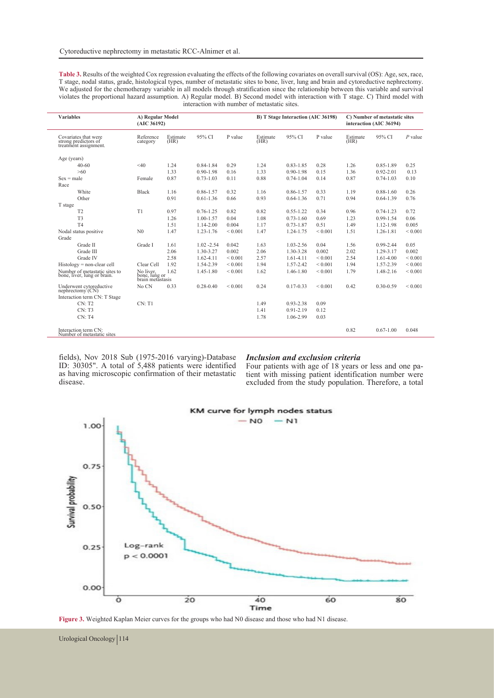| <b>Table 3.</b> Results of the weighted Cox regression evaluating the effects of the following covariates on overall survival (OS): Age, sex, race, |
|-----------------------------------------------------------------------------------------------------------------------------------------------------|
| T stage, nodal status, grade, histological types, number of metastatic sites to bone, liver, lung and brain and cytoreductive nephrectomy.          |
| We adjusted for the chemotherapy variable in all models through stratification since the relationship between this variable and survival            |
| violates the proportional hazard assumption. A) Regular model. B) Second model with interaction with T stage. C) Third model with                   |
| interaction with number of metastatic sites.                                                                                                        |
|                                                                                                                                                     |

| <b>Variables</b>                                                      | A) Regular Model<br>(AIC 36192)                |                  |               | B) T Stage Interaction (AIC 36198) |                  | C) Number of metastatic sites<br>interaction (AIC 36194) |              |                  |               |              |
|-----------------------------------------------------------------------|------------------------------------------------|------------------|---------------|------------------------------------|------------------|----------------------------------------------------------|--------------|------------------|---------------|--------------|
| Covariates that were<br>strong predictors of<br>treatment assignment. | Reference<br>category                          | Estimate<br>(HR) | 95% CI        | P value                            | Estimate<br>(HR) | 95% CI                                                   | P value      | Estimate<br>(HR) | 95% CI        | $P$ value    |
| Age (years)                                                           |                                                |                  |               |                                    |                  |                                                          |              |                  |               |              |
| $40-60$                                                               | < 40                                           | 1.24             | $0.84 - 1.84$ | 0.29                               | 1.24             | $0.83 - 1.85$                                            | 0.28         | 1.26             | $0.85 - 1.89$ | 0.25         |
| >60                                                                   |                                                | 1.33             | $0.90 - 1.98$ | 0.16                               | 1.33             | $0.90 - 1.98$                                            | 0.15         | 1.36             | $0.92 - 2.01$ | 0.13         |
| $Sex = male$                                                          | Female                                         | 0.87             | $0.73 - 1.03$ | 0.11                               | 0.88             | $0.74 - 1.04$                                            | 0.14         | 0.87             | $0.74 - 1.03$ | 0.10         |
| Race                                                                  |                                                |                  |               |                                    |                  |                                                          |              |                  |               |              |
| White                                                                 | <b>Black</b>                                   | 1.16             | 0.86-1.57     | 0.32                               | 1.16             | $0.86 - 1.57$                                            | 0.33         | 1.19             | $0.88 - 1.60$ | 0.26         |
| Other                                                                 |                                                | 0.91             | $0.61 - 1.36$ | 0.66                               | 0.93             | $0.64 - 1.36$                                            | 0.71         | 0.94             | $0.64 - 1.39$ | 0.76         |
| T stage                                                               |                                                |                  |               |                                    |                  |                                                          |              |                  |               |              |
| T <sub>2</sub>                                                        | T1                                             | 0.97             | $0.76 - 1.25$ | 0.82                               | 0.82             | $0.55 - 1.22$                                            | 0.34         | 0.96             | $0.74 - 1.23$ | 0.72         |
| T <sub>3</sub>                                                        |                                                | 1.26             | $1.00 - 1.57$ | 0.04                               | 1.08             | $0.73 - 1.60$                                            | 0.69         | 1.23             | $0.99 - 1.54$ | 0.06         |
| T <sub>4</sub>                                                        |                                                | 1.51             | 1.14-2.00     | 0.004                              | 1.17             | $0.73 - 1.87$                                            | 0.51         | 1.49             | 1.12-1.98     | 0.005        |
| Nodal status positive                                                 | N <sub>0</sub>                                 | 1.47             | 1.23-1.76     | ${}< 0.001$                        | 1.47             | 1.24-1.75                                                | ${}< 0.001$  | 1.51             | 1.26-1.81     | ${}< 0.001$  |
| Grade                                                                 |                                                |                  |               |                                    |                  |                                                          |              |                  |               |              |
| Grade II                                                              | Grade I                                        | 1.61             | $1.02 - 2.54$ | 0.042                              | 1.63             | $1.03 - 2.56$                                            | 0.04         | 1.56             | $0.99 - 2.44$ | 0.05         |
| Grade III                                                             |                                                | 2.06             | 1.30-3.27     | 0.002                              | 2.06             | 1.30-3.28                                                | 0.002        | 2.02             | 1.29-3.17     | 0.002        |
| Grade IV                                                              |                                                | 2.58             | $1.62 - 4.11$ | ${}< 0.001$                        | 2.57             | $1.61 - 4.11$                                            | ${}< 0.001$  | 2.54             | 1.61-4.00     | ${}< 0.001$  |
| $Histor = non-clear$ cell                                             | Clear Cell                                     | 1.92             | 1.54-2.39     | ${}_{0.001}$                       | 1.94             | 1.57-2.42                                                | ${}< 0.001$  | 1.94             | 1.57-2.39     | ${}< 0.001$  |
| Number of metastatic sites to<br>bone, liver, lung or brain.          | No liver.<br>bone, lung or<br>brain metastasis | 1.62             | 1.45-1.80     | ${}_{0.001}$                       | 1.62             | 1.46-1.80                                                | ${}< 0.001$  | 1.79             | 1.48-2.16     | ${}_{0.001}$ |
| Underwent cytoreductive<br>$n$ ephrectomy $(CN)$                      | No CN                                          | 0.33             | $0.28 - 0.40$ | ${}_{0.001}$                       | 0.24             | $0.17 - 0.33$                                            | ${}_{0.001}$ | 0.42             | $0.30 - 0.59$ | ${}< 0.001$  |
| Interaction term CN: T Stage                                          |                                                |                  |               |                                    |                  |                                                          |              |                  |               |              |
| CN: T2                                                                | CN: T1                                         |                  |               |                                    | 1.49             | $0.93 - 2.38$                                            | 0.09         |                  |               |              |
| CN: T3                                                                |                                                |                  |               |                                    | 1.41             | $0.91 - 2.19$                                            | 0.12         |                  |               |              |
| CN: T4                                                                |                                                |                  |               |                                    | 1.78             | 1.06-2.99                                                | 0.03         |                  |               |              |
| Interaction term CN:<br>Number of metastatic sites                    |                                                |                  |               |                                    |                  |                                                          |              | 0.82             | $0.67 - 1.00$ | 0.048        |

fields), Nov 2018 Sub (1975-2016 varying)-Database ID: 30305". A total of 5,488 patients were identified as having microscopic confirmation of their metastatic disease.

*Inclusion and exclusion criteria* tient with missing patient identification number were excluded from the study population. Therefore, a total



**Figure 3.** Weighted Kaplan Meier curves for the groups who had N0 disease and those who had N1 disease.

Urological Oncology | 114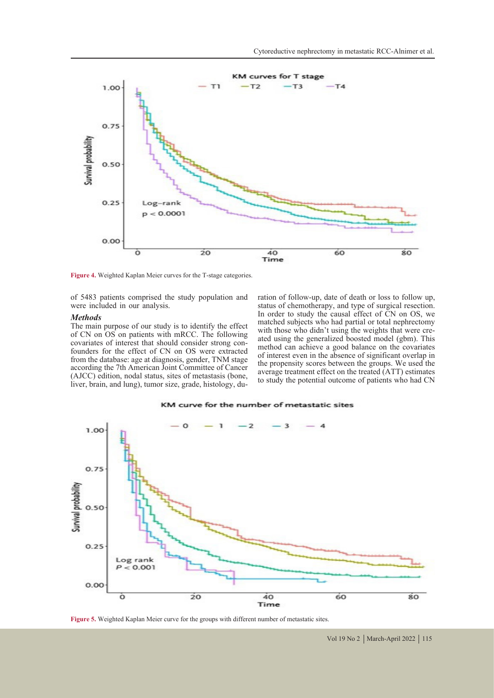

**Figure 4.** Weighted Kaplan Meier curves for the T-stage categories.

of 5483 patients comprised the study population and were included in our analysis.

#### *Methods*

The main purpose of our study is to identify the effect of CN on OS on patients with mRCC. The following covariates of interest that should consider strong con- founders for the effect of CN on OS were extracted from the database: age at diagnosis, gender, TNM stage according the 7th American Joint Committee of Cancer (AJCC) edition, nodal status, sites of metastasis (bone, liver, brain, and lung), tumor size, grade, histology, duration of follow-up, date of death or loss to follow up, status of chemotherapy, and type of surgical resection. In order to study the causal effect of  $\overline{C}N$  on OS, we matched subjects who had partial or total nephrectomy with those who didn't using the weights that were created using the generalized boosted model (gbm). This method can achieve a good balance on the covariates of interest even in the absence of significant overlap in the propensity scores between the groups. We used the average treatment effect on the treated (ATT) estimates to study the potential outcome of patients who had CN



#### KM curve for the number of metastatic sites

**Figure 5.** Weighted Kaplan Meier curve for the groups with different number of metastatic sites.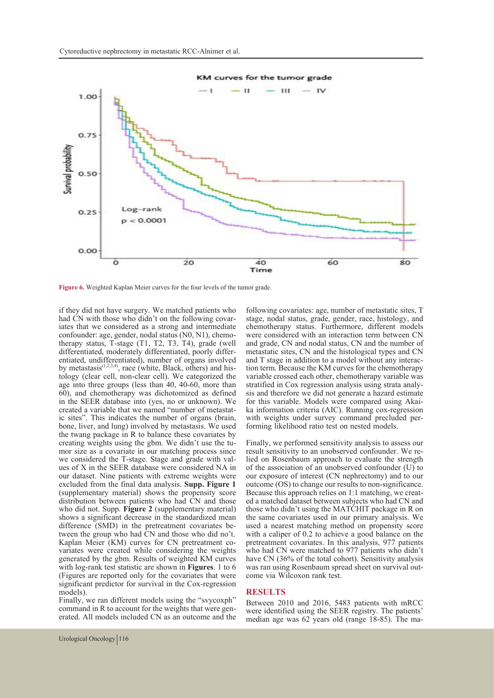

#### KM curves for the tumor grade

Figure 6. Weighted Kaplan Meier curves for the four levels of the tumor grade.

if they did not have surgery. We matched patients who had CN with those who didn't on the following covariates that we considered as a strong and intermediate confounder: age, gender, nodal status  $(N0, N1)$ , chemotherapy status, T-stage (T1, T2, T3, T4), grade (well differentiated, moderately differentiated, poorly differ- entiated, undifferentiated), number of organs involved by metastasis $(1,2,3,4)$ , race (white, Black, others) and his-<br>tology (clear cell, non-clear cell). We categorized the age into three groups (less than 40, 40-60, more than 60), and chemotherapy was dichotomized as defined in the SEER database into (yes, no or unknown). We created a variable that we named "number of metastatic sites". This indicates the number of organs (brain, bone, liver, and lung) involved by metastasis. We used the twang package in R to balance these covariates by creating weights using the gbm. We didn't use the tu-<br>mor size as a covariate in our matching process since<br>we considered the T-stage. Stage and grade with values of X in the SEER database were considered NA in our dataset. Nine patients with extreme weights were excluded from the final data analysis. **Supp. Figure 1**  (supplementary material) shows the propensity score distribution between patients who had CN and those who did not. Supp. **Figure 2** (supplementary material) shows a significant decrease in the standardized mean difference (SMD) in the pretreatment covariates be-<br>tween the group who had CN and those who did no't.<br>Kaplan Meier (KM) curves for CN pretreatment covariates were created while considering the weights generated by the gbm. Results of weighted KM curves with log-rank test statistic are shown in **Figures**. 1 to 6 (Figures are reported only for the covariates that were significant predictor for survival in the Cox-regression models).

Finally, we ran different models using the "svycoxph" command in R to account for the weights that were generated. All models included CN as an outcome and the

following covariates: age, number of metastatic sites, T stage, nodal status, grade, gender, race, histology, and chemotherapy status. Furthermore, different models were considered with an interaction term between CN and grade, CN and nodal status, CN and the number of metastatic sites, CN and the histological types and CN and T stage in addition to a model without any interaction term. Because the KM curves for the chemotherapy variable crossed each other, chemotherapy variable was stratified in Cox regression analysis using strata analysis and therefore we did not generate a hazard estimate for this variable. Models were compared using Akai- ka information criteria (AIC). Running cox-regression with weights under survey command precluded per-<br>forming likelihood ratio test on nested models.

Finally, we performed sensitivity analysis to assess our result sensitivity to an unobserved confounder. We relied on Rosenbaum approach to evaluate the strength of the association of an unobserved confounder (U) to our exposure of interest (CN nephrectomy) and to our outcome (OS) to change our results to non-significance. Because this approach relies on 1:1 matching, we creat- ed a matched dataset between subjects who had CN and those who didn't using the MATCHIT package in R on the same covariates used in our primary analysis. We used a nearest matching method on propensity score with a caliper of 0.2 to achieve a good balance on the pretreatment covariates. In this analysis, 977 patients who had CN were matched to 977 patients who didn't have CN (36% of the total cohort). Sensitivity analysis was ran using Rosenbaum spread sheet on survival out- come via Wilcoxon rank test.

### **RESULTS**

Between 2010 and 2016, 5483 patients with mRCC were identified using the SEER registry. The patients' median age was 62 years old (range 18-85). The ma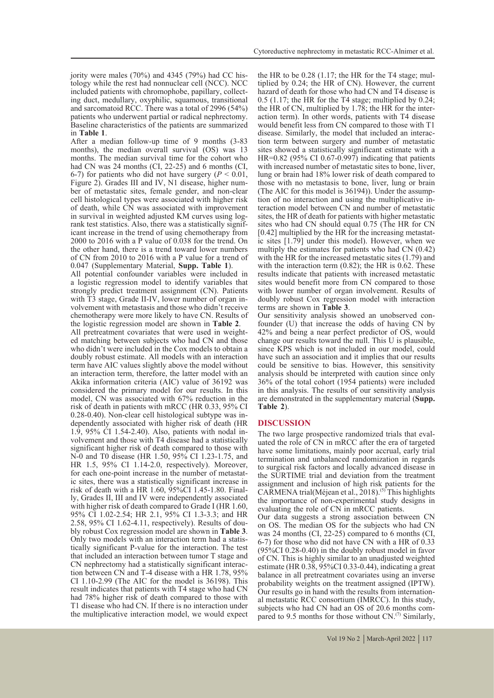jority were males (70%) and 4345 (79%) had CC his- tology while the rest had nonnuclear cell (NCC). NCC included patients with chromophobe, papillary, collect- ing duct, medullary, oxyphilic, squamous, transitional and sarcomatoid RCC. There was a total of 2996 (54%) patients who underwent partial or radical nephrectomy. Baseline characteristics of the patients are summarized in **Table 1**.

After a median follow-up time of 9 months (3-83) months), the median overall survival (OS) was 13 months. The median survival time for the cohort who had CN was 24 months (CI, 22-25) and 6 months (CI, 6-7) for patients who did not have surgery  $(P < 0.01$ , Figure 2). Grades III and IV, N1 disease, higher number of metastatic sites, female gender, and non-clear cell histological types were associated with higher risk of death, while CN was associated with improvement in survival in weighted adjusted KM curves using logrank test statistics. Also, there was a statistically signif- icant increase in the trend of using chemotherapy from 2000 to 2016 with a P value of 0.038 for the trend. On the other hand, there is a trend toward lower numbers of CN from 2010 to 2016 with a P value for a trend of 0.047 (Supplementary Material, **Supp. Table 1**).

All potential confounder variables were included in a logistic regression model to identify variables that strongly predict treatment assignment (CN). Patients with T3 stage, Grade II-IV, lower number of organ in-<br>volvement with metastasis and those who didn't receive chemotherapy were more likely to have CN. Results of the logistic regression model are shown in **Table 2**.

All pretreatment covariates that were used in weighted matching between subjects who had CN and those who didn't were included in the Cox models to obtain a doubly robust estimate. All models with an interaction term have AIC values slightly above the model without an interaction term, therefore, the latter model with an Akika information criteria (AIC) value of 36192 was considered the primary model for our results. In this model, CN was associated with 67% reduction in the risk of death in patients with mRCC (HR 0.33, 95% CI 0.28-0.40). Non-clear cell histological subtype was in- dependently associated with higher risk of death (HR 1.9, 95% CI 1.54-2.40). Also, patients with nodal in- volvement and those with T4 disease had a statistically significant higher risk of death compared to those with N-0 and T0 disease (HR 1.50, 95% CI 1.23-1.75, and HR 1.5, 95% CI 1.14-2.0, respectively). Moreover, for each one-point increase in the number of metastatic sites, there was a statistically significant increase in risk of death with a HR 1.60, 95%CI 1.45-1.80. Finally, Grades II, III and IV were independently associated with higher risk of death compared to Grade I (HR 1.60, 95% CI 1.02-2.54; HR 2.1, 95% CI 1.3-3.3; and HR 2.58, 95% CI 1.62-4.11, respectively). Results of doubly robust Cox regression model are shown in **Table 3**.<br>Only two models with an interaction term had a statistically significant P-value for the interaction. The test that included an interaction between tumor T stage and CN nephrectomy had a statistically significant interaction between CN and T-4 disease with a HR 1.78, 95% CI 1.10-2.99 (The AIC for the model is 36198). This result indicates that patients with T4 stage who had CN had 78% higher risk of death compared to those with T1 disease who had CN. If there is no interaction under the multiplicative interaction model, we would expect

the HR to be 0.28 (1.17; the HR for the T4 stage; mul- tiplied by 0.24; the HR of CN). However, the current hazard of death for those who had CN and T4 disease is 0.5 (1.17; the HR for the T4 stage; multiplied by 0.24; the HR of CN, multiplied by 1.78; the HR for the interaction term). In other words, patients with T4 disease would benefit less from CN compared to those with T1 disease. Similarly, the model that included an interaction term between surgery and number of metastatic sites showed a statistically significant estimate with a HR=0.82 (95% CI 0.67-0.997) indicating that patients with increased number of metastatic sites to bone, liver, lung or brain had 18% lower risk of death compared to those with no metastasis to bone, liver, lung or brain (The AIC for this model is 36194)). Under the assump- tion of no interaction and using the multiplicative in- teraction model between CN and number of metastatic sites, the HR of death for patients with higher metastatic sites who had CN should equal 0.75 (The HR for CN [0.42] multiplied by the HR for the increasing metastatic sites [1.79] under this model). However, when we multiply the estimates for patients who had CN (0.42) with the HR for the increased metastatic sites (1.79) and with the interaction term  $(0.82)$ ; the HR is 0.62. These results indicate that patients with increased metastatic sites would benefit more from CN compared to those with lower number of organ involvement. Results of doubly robust Cox regression model with interaction terms are shown in **Table 3**.

Our sensitivity analysis showed an unobserved con-<br>founder (U) that increase the odds of having CN by 42% and being a near perfect predictor of OS, would change our results toward the null. This U is plausible, since KPS which is not included in our model, could have such an association and it implies that our results could be sensitive to bias. However, this sensitivity analysis should be interpreted with caution since only 36% of the total cohort (1954 patients) were included in this analysis. The results of our sensitivity analysis are demonstrated in the supplementary material (**Supp. Table 2**).

#### **DISCUSSION**

The two large prospective randomized trials that eval- uated the role of CN in mRCC after the era of targeted have some limitations, mainly poor accrual, early trial termination and unbalanced randomization in regards to surgical risk factors and locally advanced disease in the SURTIME trial and deviation from the treatment assignment and inclusion of high risk patients for the CARMENA trial(Méjean et al., 2018).(5) This highlights the importance of non-experimental study designs in evaluating the role of CN in mRCC patients.

Our data suggests a strong association between CN on OS. The median OS for the subjects who had CN was 24 months (CI, 22-25) compared to 6 months (CI, 6-7) for those who did not have CN with a HR of 0.33 (95%CI 0.28-0.40) in the doubly robust model in favor of CN. This is highly similar to an unadjusted weighted estimate (HR 0.38, 95%CI 0.33-0.44), indicating a great balance in all pretreatment covariates using an inverse probability weights on the treatment assigned (IPTW). Our results go in hand with the results from international metastatic RCC consortium (IMRCC). In this study, subjects who had CN had an OS of 20.6 months compared to 9.5 months for those without  $CN<sup>(7)</sup>$  Similarly,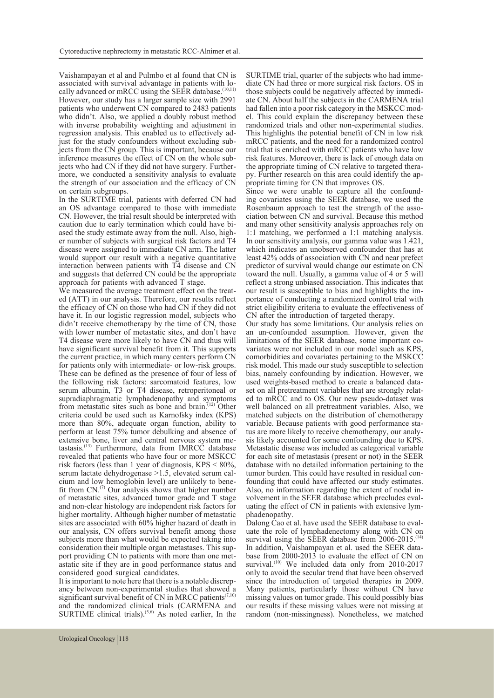Vaishampayan et al and Pulmbo et al found that CN is cally advanced or mRCC using the SEER database.<sup>(10,11)</sup> However, our study has a larger sample size with 2991 patients who underwent CN compared to 2483 patients who didn't. Also, we applied a doubly robust method with inverse probability weighting and adjustment in regression analysis. This enabled us to effectively adjust for the study confounders without excluding sub-<br>jects from the CN group. This is important, because our<br>inference measures the effect of CN on the whole subjects who had CN if they did not have surgery. Further-<br>more, we conducted a sensitivity analysis to evaluate the strength of our association and the efficacy of CN on certain subgroups.

In the SURTIME trial, patients with deferred CN had an OS advantage compared to those with immediate CN. However, the trial result should be interpreted with caution due to early termination which could have bi-<br>ased the study estimate away from the null. Also, high-<br>er number of subjects with surgical risk factors and T4 disease were assigned to immediate CN arm. The latter would support our result with a negative quantitative interaction between patients with T4 disease and CN and suggests that deferred CN could be the appropriate approach for patients with advanced T stage.<br>We measured the average treatment effect on the treat-

ed (ATT) in our analysis. Therefore, our results reflect the efficacy of CN on those who had CN if they did not have it. In our logistic regression model, subjects who didn't receive chemotherapy by the time of CN, those with lower number of metastatic sites, and don't have T4 disease were more likely to have CN and thus will have significant survival benefit from it. This supports the current practice, in which many centers perform CN for patients only with intermediate- or low-risk groups. These can be defined as the presence of four of less of the following risk factors: sarcomatoid features, low serum albumin, T3 or T4 disease, retroperitoneal or supradiaphragmatic lymphadenopathy and symptoms from metastatic sites such as bone and brain.<sup>(12)</sup> Other criteria could be used such as Karnofsky index (KPS) more than 80%, adequate organ function, ability to perform at least 75% tumor debulking and absence of tastasis.<sup> $(13)$ </sup> Furthermore, data from IMRCC database revealed that patients who have four or more MSKCC risk factors (less than 1 year of diagnosis, KPS < 80%, cium and low hemoglobin level) are unlikely to bene- fit from CN.<sup>(7)</sup> Our analysis shows that higher number of metastatic sites, advanced tumor grade and T stage and non-clear histology are independent risk factors for higher mortality. Although higher number of metastatic sites are associated with 60% higher hazard of death in our analysis, CN offers survival benefit among those subjects more than what would be expected taking into consideration their multiple organ metastases. This support providing CN to patients with more than one metastatic site if they are in good performance status and considered good surgical candidates.

It is important to note here that there is a notable discrep- ancy between non-experimental studies that showed a significant survival benefit of CN in MRCC patients<sup> $(7,10)$ </sup> and the randomized clinical trials (CARMENA and SURTIME clinical trials). $(5,6)$  As noted earlier, In the SURTIME trial, quarter of the subjects who had imme- diate CN had three or more surgical risk factors. OS in those subjects could be negatively affected by immediate CN. About half the subjects in the CARMENA trial had fallen into a poor risk category in the MSKCC model. This could explain the discrepancy between these randomized trials and other non-experimental studies. This highlights the potential benefit of CN in low risk mRCC patients, and the need for a randomized control trial that is enriched with mRCC patients who have low risk features. Moreover, there is lack of enough data on the appropriate timing of CN relative to targeted thera- py. Further research on this area could identify the ap-<br>propriate timing for CN that improves OS.<br>Since we were unable to capture all the confound-

ing covariates using the SEER database, we used the Rosenbaum approach to test the strength of the asso- ciation between CN and survival. Because this method and many other sensitivity analysis approaches rely on 1:1 matching, we performed a 1:1 matching analysis. In our sensitivity analysis, our gamma value was 1.421, which indicates an unobserved confounder that has at least 42% odds of association with CN and near prefect predictor of survival would change our estimate on CN toward the null. Usually, a gamma value of 4 or 5 will reflect a strong unbiased association. This indicates that our result is susceptible to bias and highlights the im- portance of conducting a randomized control trial with strict eligibility criteria to evaluate the effectiveness of CN after the introduction of targeted therapy.

Our study has some limitations. Our analysis relies on an un-confounded assumption. However, given the variates were not included in our model such as KPS, comorbidities and covariates pertaining to the MSKCC risk model. This made our study susceptible to selection bias, namely confounding by indication. However, we set on all pretreatment variables that are strongly related to mRCC and to OS. Our new pseudo-dataset was well balanced on all pretreatment variables. Also, we matched subjects on the distribution of chemotherapy variable. Because patients with good performance status are more likely to receive chemotherapy, our analy-<br>sis likely accounted for some confounding due to KPS. Metastatic disease was included as categorical variable for each site of metastasis (present or not) in the SEER database with no detailed information pertaining to the tumor burden. This could have resulted in residual confounding that could have affected our study estimates. Also, no information regarding the extent of nodal in-<br>volvement in the SEER database which precludes eval-<br>uating the effect of CN in patients with extensive lym-<br>phadenopathy.<br>Dalong Cao et al. have used the SEER databas

uate the role of lymphadenectomy along with CN on survival using the SEER database from  $2006-2015$ .<sup>(14)</sup> In addition, Vaishampayan et al. used the SEER data-<br>base from 2000-2013 to evaluate the effect of CN on survival.<sup>(10)</sup> We included data only from 2010-2017 only to avoid the secular trend that have been observed since the introduction of targeted therapies in 2009. Many patients, particularly those without CN have missing values on tumor grade. This could possibly bias our results if these missing values were not missing at random (non-missingness). Nonetheless, we matched